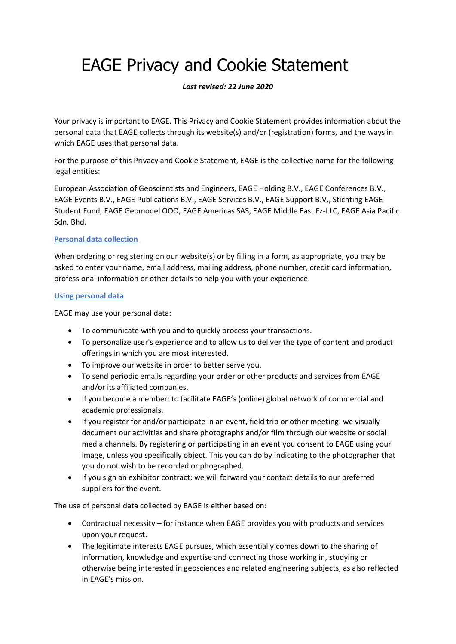# EAGE Privacy and Cookie Statement

## *Last revised: 22 June 2020*

Your privacy is important to EAGE. This Privacy and Cookie Statement provides information about the personal data that EAGE collects through its website(s) and/or (registration) forms, and the ways in which EAGE uses that personal data.

For the purpose of this Privacy and Cookie Statement, EAGE is the collective name for the following legal entities:

European Association of Geoscientists and Engineers, EAGE Holding B.V., EAGE Conferences B.V., EAGE Events B.V., EAGE Publications B.V., EAGE Services B.V., EAGE Support B.V., Stichting EAGE Student Fund, EAGE Geomodel OOO, EAGE Americas SAS, EAGE Middle East Fz-LLC, EAGE Asia Pacific Sdn. Bhd.

## **Personal data collection**

When ordering or registering on our website(s) or by filling in a form, as appropriate, you may be asked to enter your name, email address, mailing address, phone number, credit card information, professional information or other details to help you with your experience.

#### **Using personal data**

EAGE may use your personal data:

- To communicate with you and to quickly process your transactions.
- To personalize user's experience and to allow us to deliver the type of content and product offerings in which you are most interested.
- To improve our website in order to better serve you.
- To send periodic emails regarding your order or other products and services from EAGE and/or its affiliated companies.
- If you become a member: to facilitate EAGE's (online) global network of commercial and academic professionals.
- If you register for and/or participate in an event, field trip or other meeting: we visually document our activities and share photographs and/or film through our website or social media channels. By registering or participating in an event you consent to EAGE using your image, unless you specifically object. This you can do by indicating to the photographer that you do not wish to be recorded or phographed.
- If you sign an exhibitor contract: we will forward your contact details to our preferred suppliers for the event.

The use of personal data collected by EAGE is either based on:

- Contractual necessity for instance when EAGE provides you with products and services upon your request.
- The legitimate interests EAGE pursues, which essentially comes down to the sharing of information, knowledge and expertise and connecting those working in, studying or otherwise being interested in geosciences and related engineering subjects, as also reflected in EAGE's mission.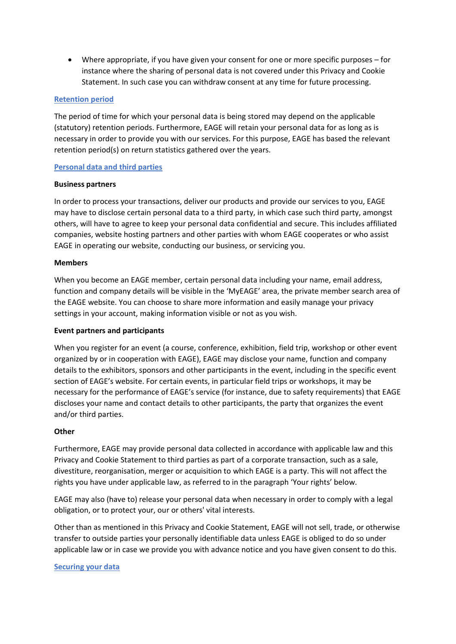• Where appropriate, if you have given your consent for one or more specific purposes – for instance where the sharing of personal data is not covered under this Privacy and Cookie Statement. In such case you can withdraw consent at any time for future processing.

## **Retention period**

The period of time for which your personal data is being stored may depend on the applicable (statutory) retention periods. Furthermore, EAGE will retain your personal data for as long as is necessary in order to provide you with our services. For this purpose, EAGE has based the relevant retention period(s) on return statistics gathered over the years.

## **Personal data and third parties**

## **Business partners**

In order to process your transactions, deliver our products and provide our services to you, EAGE may have to disclose certain personal data to a third party, in which case such third party, amongst others, will have to agree to keep your personal data confidential and secure. This includes affiliated companies, website hosting partners and other parties with whom EAGE cooperates or who assist EAGE in operating our website, conducting our business, or servicing you.

## **Members**

When you become an EAGE member, certain personal data including your name, email address, function and company details will be visible in the 'MyEAGE' area, the private member search area of the EAGE website. You can choose to share more information and easily manage your privacy settings in your account, making information visible or not as you wish.

#### **Event partners and participants**

When you register for an event (a course, conference, exhibition, field trip, workshop or other event organized by or in cooperation with EAGE), EAGE may disclose your name, function and company details to the exhibitors, sponsors and other participants in the event, including in the specific event section of EAGE's website. For certain events, in particular field trips or workshops, it may be necessary for the performance of EAGE's service (for instance, due to safety requirements) that EAGE discloses your name and contact details to other participants, the party that organizes the event and/or third parties.

#### **Other**

Furthermore, EAGE may provide personal data collected in accordance with applicable law and this Privacy and Cookie Statement to third parties as part of a corporate transaction, such as a sale, divestiture, reorganisation, merger or acquisition to which EAGE is a party. This will not affect the rights you have under applicable law, as referred to in the paragraph 'Your rights' below.

EAGE may also (have to) release your personal data when necessary in order to comply with a legal obligation, or to protect your, our or others' vital interests.

Other than as mentioned in this Privacy and Cookie Statement, EAGE will not sell, trade, or otherwise transfer to outside parties your personally identifiable data unless EAGE is obliged to do so under applicable law or in case we provide you with advance notice and you have given consent to do this.

#### **Securing your data**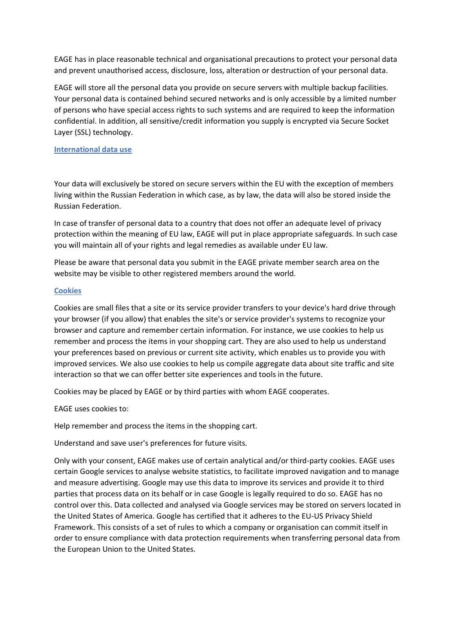EAGE has in place reasonable technical and organisational precautions to protect your personal data and prevent unauthorised access, disclosure, loss, alteration or destruction of your personal data.

EAGE will store all the personal data you provide on secure servers with multiple backup facilities. Your personal data is contained behind secured networks and is only accessible by a limited number of persons who have special access rights to such systems and are required to keep the information confidential. In addition, all sensitive/credit information you supply is encrypted via Secure Socket Layer (SSL) technology.

#### **International data use**

Your data will exclusively be stored on secure servers within the EU with the exception of members living within the Russian Federation in which case, as by law, the data will also be stored inside the Russian Federation.

In case of transfer of personal data to a country that does not offer an adequate level of privacy protection within the meaning of EU law, EAGE will put in place appropriate safeguards. In such case you will maintain all of your rights and legal remedies as available under EU law.

Please be aware that personal data you submit in the EAGE private member search area on the website may be visible to other registered members around the world.

#### **Cookies**

Cookies are small files that a site or its service provider transfers to your device's hard drive through your browser (if you allow) that enables the site's or service provider's systems to recognize your browser and capture and remember certain information. For instance, we use cookies to help us remember and process the items in your shopping cart. They are also used to help us understand your preferences based on previous or current site activity, which enables us to provide you with improved services. We also use cookies to help us compile aggregate data about site traffic and site interaction so that we can offer better site experiences and tools in the future.

Cookies may be placed by EAGE or by third parties with whom EAGE cooperates.

EAGE uses cookies to:

Help remember and process the items in the shopping cart.

Understand and save user's preferences for future visits.

Only with your consent, EAGE makes use of certain analytical and/or third-party cookies. EAGE uses certain Google services to analyse website statistics, to facilitate improved navigation and to manage and measure advertising. Google may use this data to improve its services and provide it to third parties that process data on its behalf or in case Google is legally required to do so. EAGE has no control over this. Data collected and analysed via Google services may be stored on servers located in the United States of America. Google has certified that it adheres to the EU-US Privacy Shield Framework. This consists of a set of rules to which a company or organisation can commit itself in order to ensure compliance with data protection requirements when transferring personal data from the European Union to the United States.